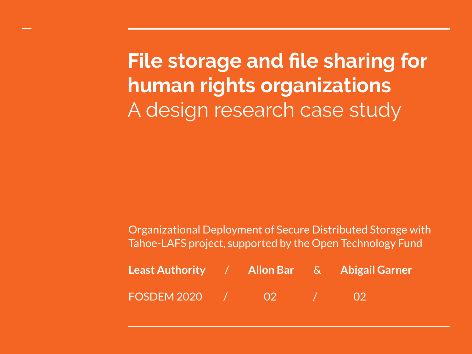**File storage and file sharing for human rights organizations** A design research case study

Organizational Deployment of Secure Distributed Storage with Tahoe-LAFS project, supported by the Open Technology Fund

| <b>Least Authority / Allon Bar</b> & Abigail Garner |  |  |
|-----------------------------------------------------|--|--|
| FOSDEM 2020 /                                       |  |  |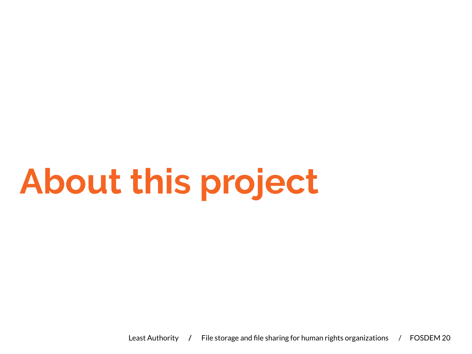## **About this project**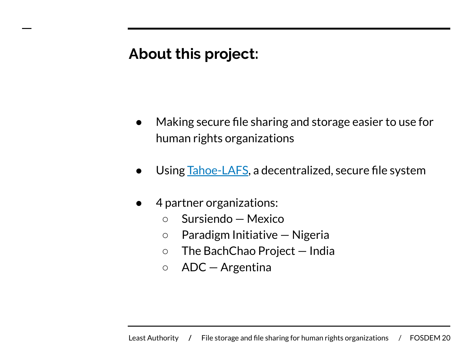### **About this project:**

- Making secure file sharing and storage easier to use for human rights organizations
- Using [Tahoe-LAFS](https://github.com/tahoe-lafs/tahoe-lafs), a decentralized, secure file system
- 4 partner organizations:
	- Sursiendo Mexico
	- Paradigm Initiative Nigeria
	- The BachChao Project India
	- ADC Argentina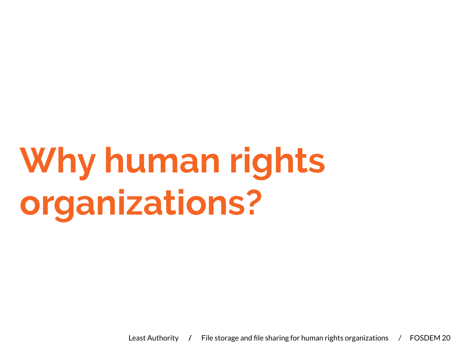## **Why human rights organizations?**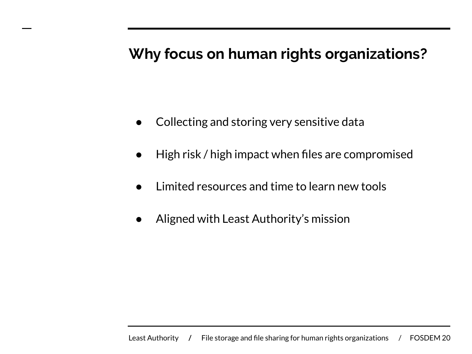### **Why focus on human rights organizations?**

- Collecting and storing very sensitive data
- High risk / high impact when files are compromised
- Limited resources and time to learn new tools
- Aligned with Least Authority's mission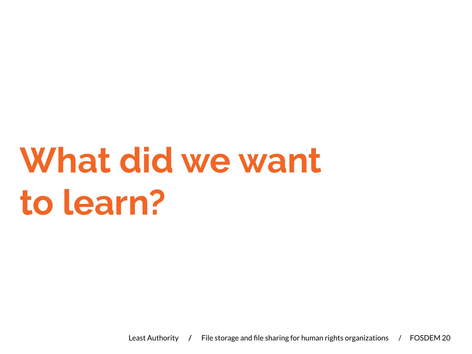## **What did we want to learn?**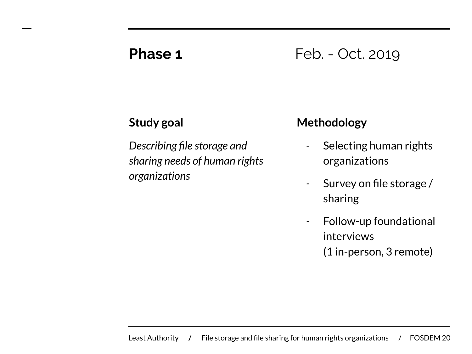### **Phase 1** Feb. - Oct. 2019

### **Study goal**

*Describing file storage and sharing needs of human rights organizations*

### **Methodology**

- *-* Selecting human rights organizations
- *-* Survey on file storage / sharing
- *-* Follow-up foundational interviews (1 in-person, 3 remote)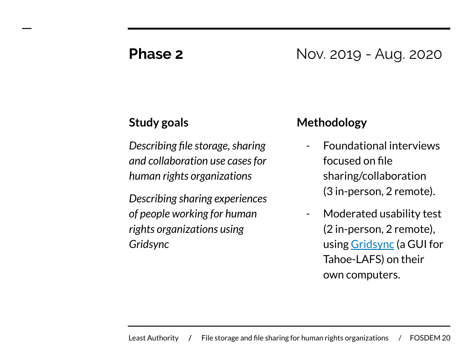### **Phase 2** Nov. 2019 - Aug. 2020

### **Study goals**

*Describing file storage, sharing and collaboration use cases for human rights organizations*

*Describing sharing experiences of people working for human rights organizations using Gridsync*

#### **Methodology**

- *-* Foundational interviews focused on file sharing/collaboration (3 in-person, 2 remote).
- *-* Moderated usability test (2 in-person, 2 remote), using [Gridsync](https://github.com/gridsync/gridsync) (a GUI for Tahoe-LAFS) on their own computers.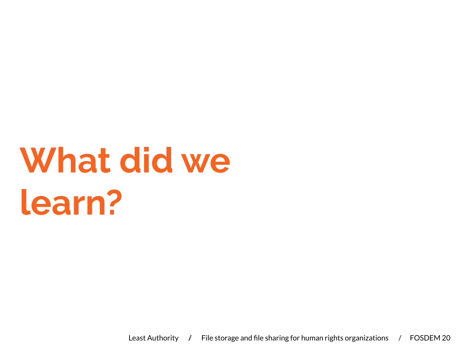## **What did we learn?**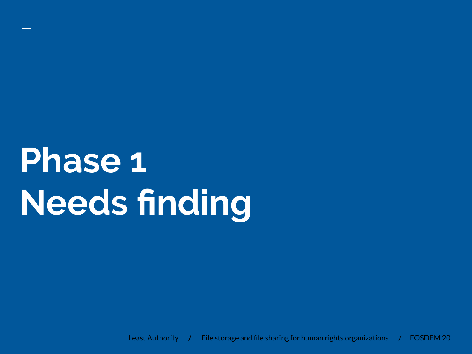**Phase 1 Needs finding**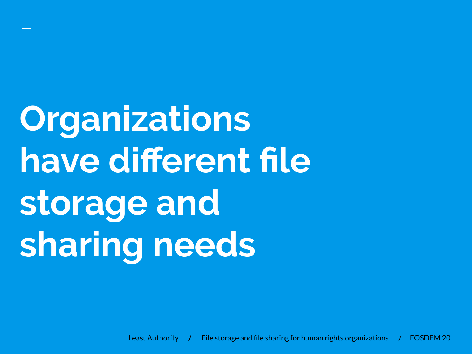**Organizations have different file storage and sharing needs**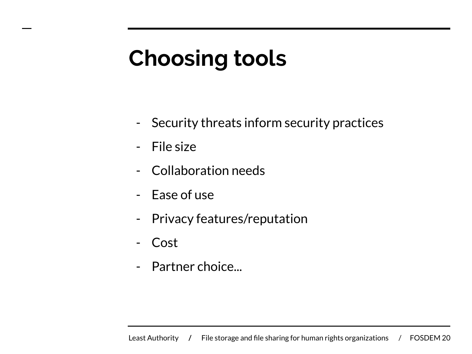## **Choosing tools**

- Security threats inform security practices
- File size
- Collaboration needs
- Ease of use
- Privacy features/reputation
- Cost
- Partner choice...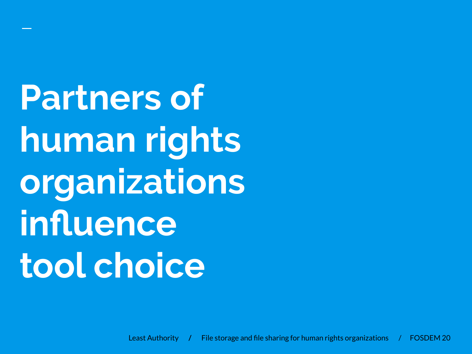**Partners of human rights organizations influence tool choice**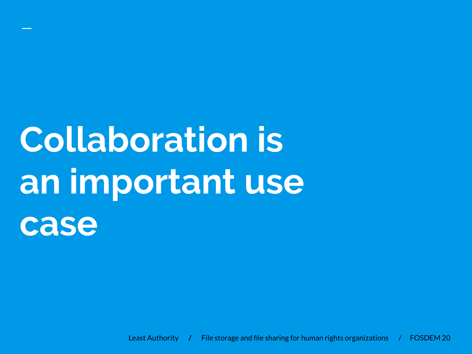## **Collaboration is an important use case**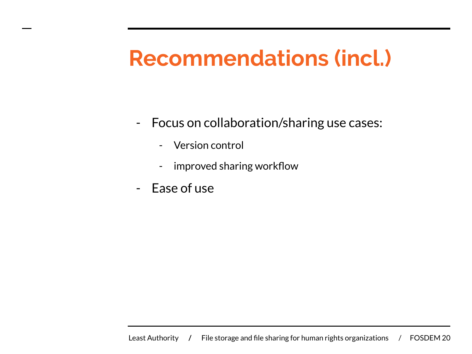### **Recommendations (incl.)**

- Focus on collaboration/sharing use cases:
	- Version control
	- improved sharing workflow
- Ease of use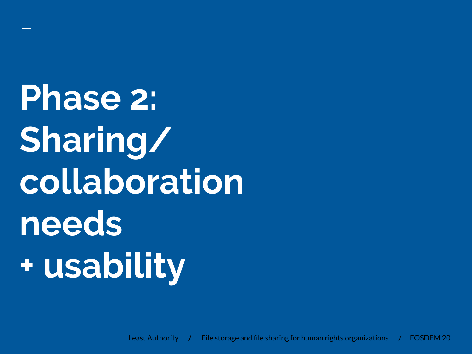**Phase 2: Sharing/ collaboration needs + usability**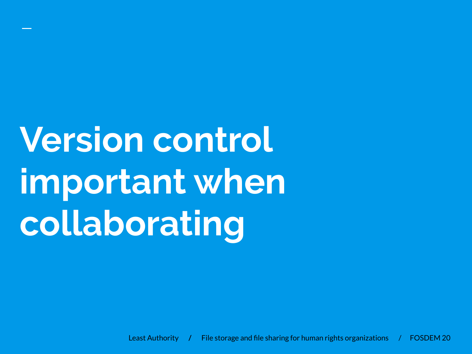# **Version control important when collaborating**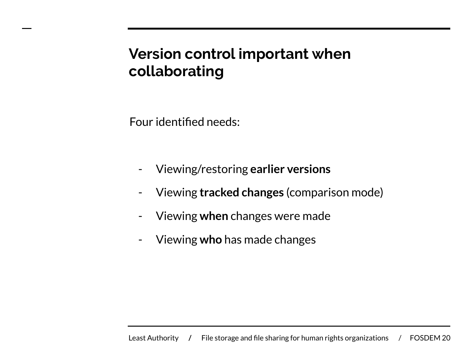### **Version control important when collaborating**

Four identified needs:

- Viewing/restoring **earlier versions**
- Viewing **tracked changes** (comparison mode)
- Viewing **when** changes were made
- Viewing **who** has made changes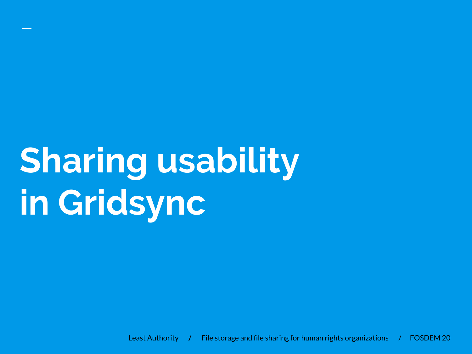## **Sharing usability in Gridsync**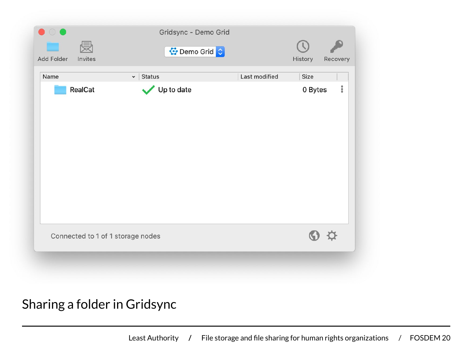| Add Folder | 侵<br>Invites | <mark>◆</mark> Demo Grid          |               | History            | Recovery  |
|------------|--------------|-----------------------------------|---------------|--------------------|-----------|
| Name       |              | <b>Status</b><br>$\checkmark$     | Last modified | Size               |           |
|            | RealCat      | Up to date                        |               | 0 Bytes            | $\bullet$ |
|            |              | Connected to 1 of 1 storage nodes |               | $\mathcal{D}$<br>V |           |

Sharing a folder in Gridsync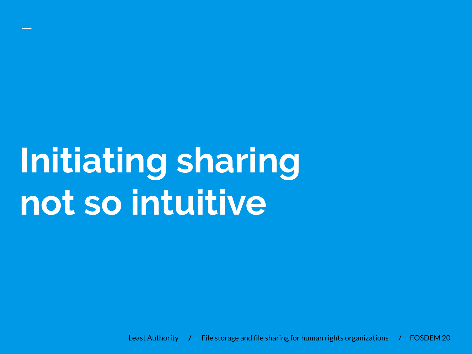## **Initiating sharing not so intuitive**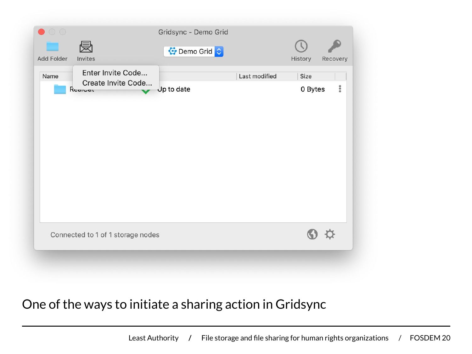| Enter Invite Code<br>Last modified<br>Name<br>Create Invite Code<br>Jp to date<br>Rogival | Size<br>$\frac{8}{9}$<br>0 Bytes |
|-------------------------------------------------------------------------------------------|----------------------------------|
|                                                                                           |                                  |
| Connected to 1 of 1 storage nodes                                                         |                                  |

### One of the ways to initiate a sharing action in Gridsync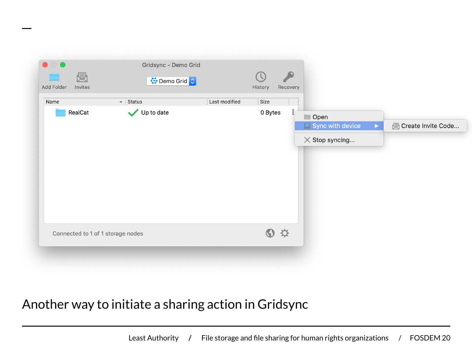

### Another way to initiate a sharing action in Gridsync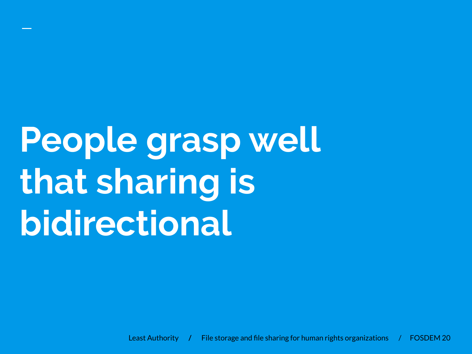## **People grasp well that sharing is bidirectional**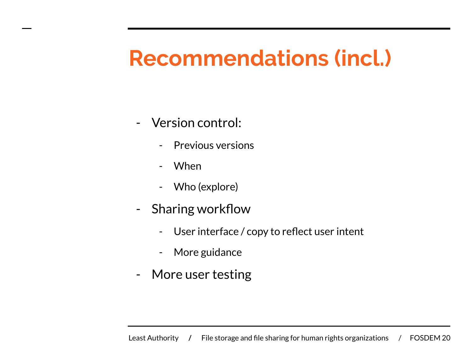### **Recommendations (incl.)**

- Version control:
	- Previous versions
	- When
	- Who (explore)
- Sharing workflow
	- User interface / copy to reflect user intent
	- More guidance
- More user testing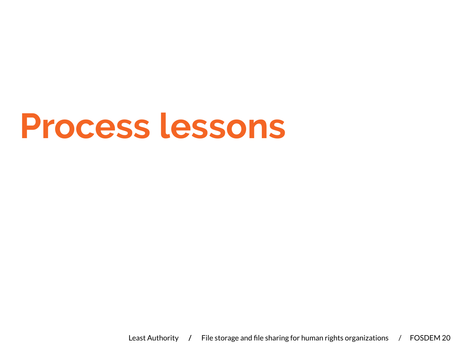## **Process lessons**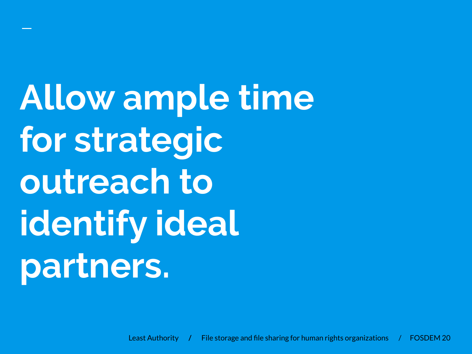**Allow ample time for strategic outreach to identify ideal partners.**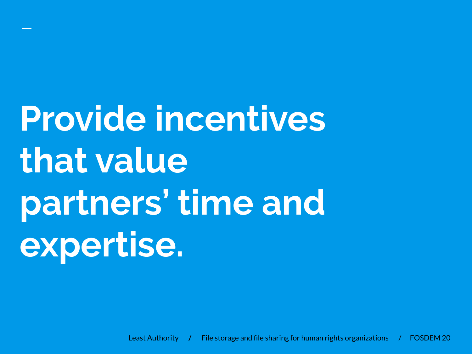# **Provide incentives that value partners' time and expertise.**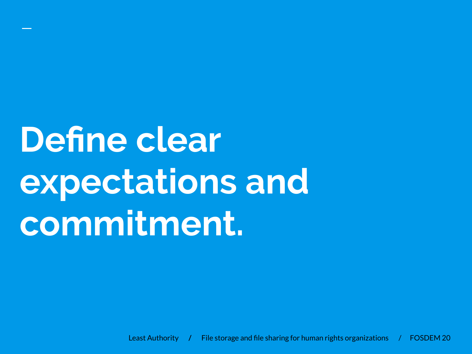## **Define clear expectations and commitment.**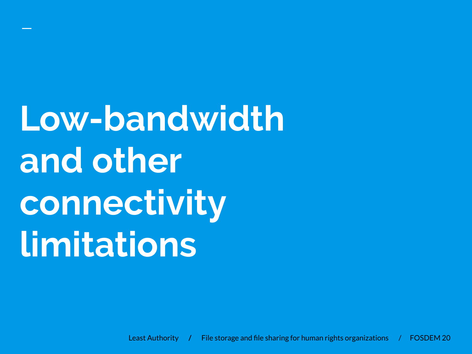**Low-bandwidth and other connectivity limitations**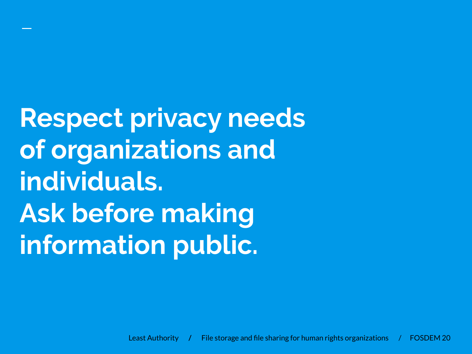**Respect privacy needs of organizations and individuals. Ask before making information public.**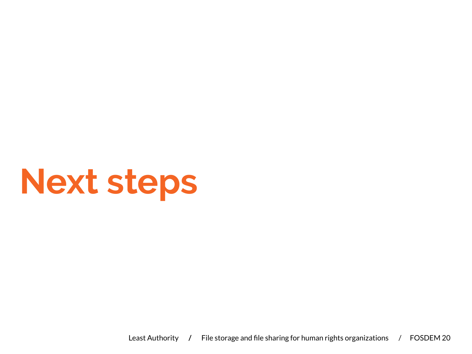## **Next steps**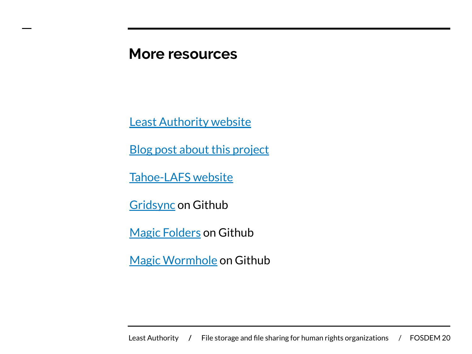### **More resources**

[Least Authority website](https://leastauthority.com)

[Blog post about this project](https://leastauthority.com/blog/secure-file-storage-tools-human-rights-defenders/)

[Tahoe-LAFS website](https://tahoe-lafs.org/trac/tahoe-lafs)

**[Gridsync](https://github.com/gridsync/gridsync) on Github** 

[Magic Folders](https://github.com/tahoe-lafs/tahoe-lafs/blob/master/docs/frontends/magic-folder.rst) on Github

[Magic Wormhole](https://github.com/warner/magic-wormhole) on Github